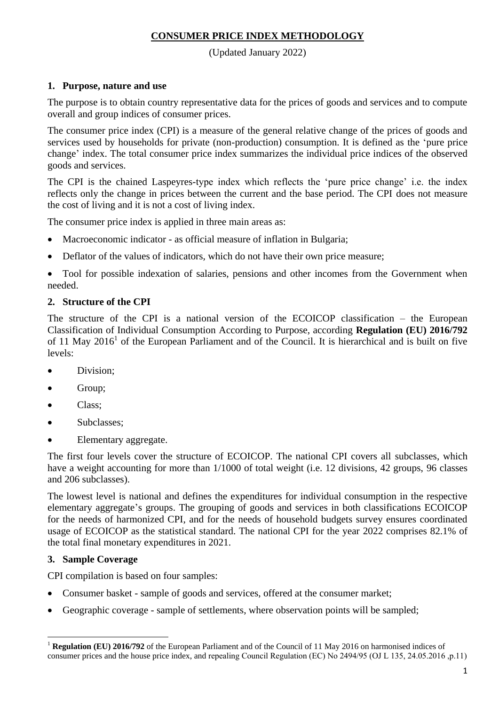## **CONSUMER PRICE INDEX METHODOLOGY**

(Updated January 2022)

# **1. Purpose, nature and use**

The purpose is to obtain country representative data for the prices of goods and services and to compute overall and group indices of consumer prices.

The consumer price index (CPI) is a measure of the general relative change of the prices of goods and services used by households for private (non-production) consumption. It is defined as the 'pure price change' index. The total consumer price index summarizes the individual price indices of the observed goods and services.

The CPI is the chained Laspeyres-type index which reflects the 'pure price change' i.e. the index reflects only the change in prices between the current and the base period. The CPI does not measure the cost of living and it is not a cost of living index.

The consumer price index is applied in three main areas as:

- Macroeconomic indicator as official measure of inflation in Bulgaria;
- Deflator of the values of indicators, which do not have their own price measure;

• Tool for possible indexation of salaries, pensions and other incomes from the Government when needed.

## **2. Structure of the CPI**

The structure of the CPI is a national version of the ECOICOP classification – the European Classification of Individual Consumption According to Purpose, according **Regulation (EU) 2016/792** of 11 May 2016<sup>1</sup> of the European Parliament and of the Council. It is hierarchical and is built on five levels:

- Division;
- Group;
- Class;
- Subclasses:
- Elementary aggregate.

The first four levels cover the structure of ECOICOP. The national CPI covers all subclasses, which have a weight accounting for more than 1/1000 of total weight (i.e. 12 divisions, 42 groups, 96 classes and 206 subclasses).

The lowest level is national and defines the expenditures for individual consumption in the respective elementary aggregate's groups. The grouping of goods and services in both classifications ECOICOP for the needs of harmonized CPI, and for the needs of household budgets survey ensures coordinated usage of ECOICOP as the statistical standard. The national CPI for the year 2022 comprises 82.1% of the total final monetary expenditures in 2021.

## **3. Sample Coverage**

 $\overline{a}$ 

CPI compilation is based on four samples:

- Consumer basket sample of goods and services, offered at the consumer market;
- Geographic coverage sample of settlements, where observation points will be sampled;

<sup>1</sup> **Regulation (EU) 2016/792** of the European Parliament and of the Council of 11 May 2016 on harmonised indices of consumer prices and the house price index, and repealing Council Regulation (EC) No 2494/95 (ОJ L 135, 24.05.2016 ,p.11)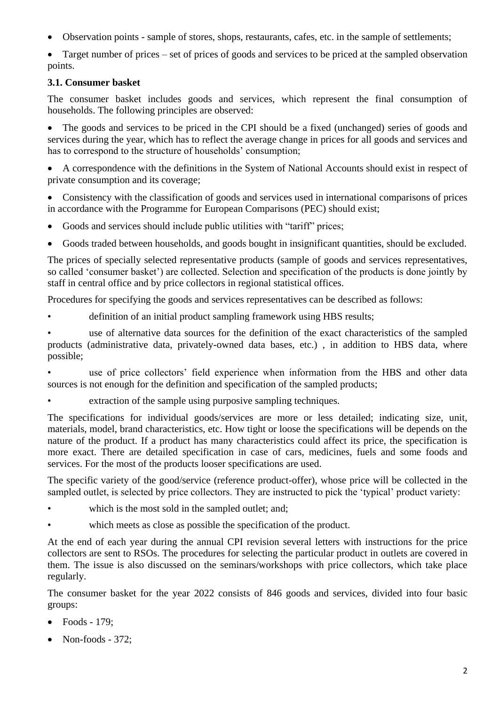Observation points - sample of stores, shops, restaurants, cafes, etc. in the sample of settlements;

 Target number of prices – set of prices of goods and services to be priced at the sampled observation points.

# **3.1. Consumer basket**

The consumer basket includes goods and services, which represent the final consumption of households. The following principles are observed:

 The goods and services to be priced in the CPI should be a fixed (unchanged) series of goods and services during the year, which has to reflect the average change in prices for all goods and services and has to correspond to the structure of households' consumption;

 A correspondence with the definitions in the System of National Accounts should exist in respect of private consumption and its coverage;

 Consistency with the classification of goods and services used in international comparisons of prices in accordance with the Programme for European Comparisons (PEC) should exist;

- Goods and services should include public utilities with "tariff" prices;
- Goods traded between households, and goods bought in insignificant quantities, should be excluded.

The prices of specially selected representative products (sample of goods and services representatives, so called 'consumer basket') are collected. Selection and specification of the products is done jointly by staff in central office and by price collectors in regional statistical offices.

Procedures for specifying the goods and services representatives can be described as follows:

definition of an initial product sampling framework using HBS results;

use of alternative data sources for the definition of the exact characteristics of the sampled products (administrative data, privately-owned data bases, etc.) , in addition to HBS data, where possible;

• use of price collectors' field experience when information from the HBS and other data sources is not enough for the definition and specification of the sampled products;

• extraction of the sample using purposive sampling techniques.

The specifications for individual goods/services are more or less detailed; indicating size, unit, materials, model, brand characteristics, etc. How tight or loose the specifications will be depends on the nature of the product. If a product has many characteristics could affect its price, the specification is more exact. There are detailed specification in case of cars, medicines, fuels and some foods and services. For the most of the products looser specifications are used.

The specific variety of the good/service (reference product-offer), whose price will be collected in the sampled outlet, is selected by price collectors. They are instructed to pick the 'typical' product variety:

- which is the most sold in the sampled outlet; and;
- which meets as close as possible the specification of the product.

At the end of each year during the annual CPI revision several letters with instructions for the price collectors are sent to RSOs. The procedures for selecting the particular product in outlets are covered in them. The issue is also discussed on the seminars/workshops with price collectors, which take place regularly.

The consumer basket for the year 2022 consists of 846 goods and services, divided into four basic groups:

- Foods 179;
- $\bullet$  Non-foods 372;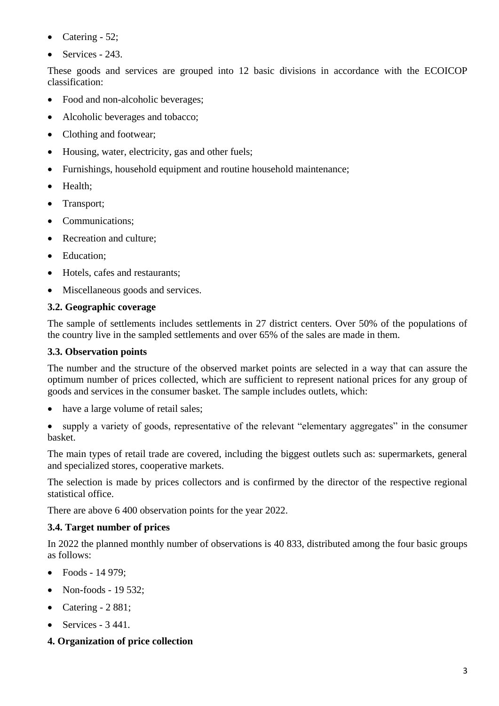- Catering  $-52$ ;
- $\bullet$  Services 243.

These goods and services are grouped into 12 basic divisions in accordance with the ECOICOP classification:

- Food and non-alcoholic beverages;
- Alcoholic beverages and tobacco:
- Clothing and footwear;
- Housing, water, electricity, gas and other fuels;
- Furnishings, household equipment and routine household maintenance;
- Health;
- Transport;
- Communications;
- Recreation and culture:
- Education:
- Hotels, cafes and restaurants:
- Miscellaneous goods and services.

## **3.2. Geographic coverage**

The sample of settlements includes settlements in 27 district centers. Over 50% of the populations of the country live in the sampled settlements and over 65% of the sales are made in them.

### **3.3. Observation points**

The number and the structure of the observed market points are selected in a way that can assure the optimum number of prices collected, which are sufficient to represent national prices for any group of goods and services in the consumer basket. The sample includes outlets, which:

• have a large volume of retail sales:

 supply a variety of goods, representative of the relevant "elementary aggregates" in the consumer basket.

The main types of retail trade are covered, including the biggest outlets such as: supermarkets, general and specialized stores, cooperative markets.

The selection is made by prices collectors and is confirmed by the director of the respective regional statistical office.

There are above 6 400 observation points for the year 2022.

## **3.4. Target number of prices**

In 2022 the planned monthly number of observations is 40 833, distributed among the four basic groups as follows:

- $\bullet$  Foods 14 979:
- Non-foods 19 532;
- Catering  $-2881$ ;
- $\bullet$  Services 3 441.
- **4. Organization of price collection**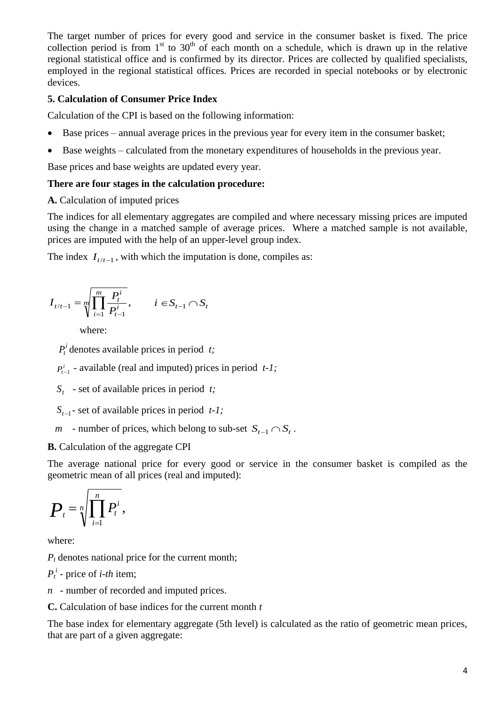The target number of prices for every good and service in the consumer basket is fixed. The price collection period is from  $1<sup>st</sup>$  to  $30<sup>th</sup>$  of each month on a schedule, which is drawn up in the relative regional statistical office and is confirmed by its director. Prices are collected by qualified specialists, employed in the regional statistical offices. Prices are recorded in special notebooks or by electronic devices.

## **5. Calculation of Consumer Price Index**

Calculation of the CPI is based on the following information:

- Base prices annual average prices in the previous year for every item in the consumer basket;
- Base weights calculated from the monetary expenditures of households in the previous year.

Base prices and base weights are updated every year.

#### **There are four stages in the calculation procedure:**

#### **A.** Calculation of imputed prices

The indices for all elementary aggregates are compiled and where necessary missing prices are imputed using the change in a matched sample of average prices. Where a matched sample is not available, prices are imputed with the help of an upper-level group index.

The index  $I_{t/t-1}$ , with which the imputation is done, compiles as:

$$
I_{t/t-1} = \sqrt[m]{\prod_{i=1}^{m} \frac{P_t^i}{P_{t-1}^i}}, \qquad i \in S_{t-1} \cap S_t
$$

where:

 $P_t^i$  denotes available prices in period *t*;

 $P_{t-1}^i$  - available (real and imputed) prices in period *t-1;* 

*S<sup>t</sup>* - set of available prices in period *t;*

 $S_{t-1}$ - set of available prices in period *t-1;* 

*m* - number of prices, which belong to sub-set  $S_{t-1} \cap S_t$ .

## **B.** Calculation of the aggregate CPI

The average national price for every good or service in the consumer basket is compiled as the geometric mean of all prices (real and imputed):

$$
\boldsymbol{P}_{t} = \sqrt[n]{\prod_{i=1}^{n} P_{t}^{i}},
$$

where:

 $P_t$  denotes national price for the current month;

 $P_t^i$  - price of *i*-*th* item;

*n* - number of recorded and imputed prices.

**C.** Calculation of base indices for the current month *t*

The base index for elementary aggregate (5th level) is calculated as the ratio of geometric mean prices, that are part of a given aggregate: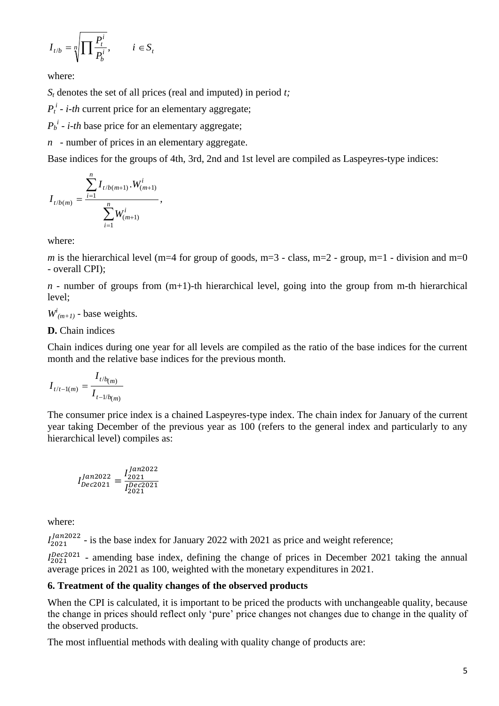$$
I_{t/b} = \sqrt[n]{\prod \frac{P_t^i}{P_b^i}}, \qquad i \in S_t
$$

where:

*S<sup>t</sup>* denotes the set of all prices (real and imputed) in period *t;*

 $P_t^i$  - *i*-th current price for an elementary aggregate;

 $P_b^i$  - *i*-*th* base price for an elementary aggregate;

*n* - number of prices in an elementary aggregate.

Base indices for the groups of 4th, 3rd, 2nd and 1st level are compiled as Laspeyres-type indices:

$$
I_{t/b(m)} = \frac{\sum_{i=1}^{n} I_{t/b(m+1)} \cdot W_{(m+1)}^{i}}{\sum_{i=1}^{n} W_{(m+1)}^{i}},
$$

where:

*m* is the hierarchical level (m=4 for group of goods, m=3 - class, m=2 - group, m=1 - division and m=0 - overall CPI);

 $n$  - number of groups from  $(m+1)$ -th hierarchical level, going into the group from m-th hierarchical level;

 $W^i_{(m+1)}$  - base weights.

#### **D.** Chain indices

Chain indices during one year for all levels are compiled as the ratio of the base indices for the current month and the relative base indices for the previous month.

$$
I_{t/t-1(m)} = \frac{I_{t/b(m)}}{I_{t-1/b(m)}}
$$

The consumer price index is a chained Laspeyres-type index. The chain index for January of the current year taking December of the previous year as 100 (refers to the general index and particularly to any hierarchical level) compiles as:

$$
I_{Dec2021}^{Jan2022}=\frac{I_{2021}^{Jan2022}}{I_{2021}^{Dec2021}}
$$

where:

 $I_{2021}^{Jan2022}$  - is the base index for January 2022 with 2021 as price and weight reference;

 $I_{2021}^{Dec2021}$  - amending base index, defining the change of prices in December 2021 taking the annual average prices in 2021 as 100, weighted with the monetary expenditures in 2021.

#### **6. Treatment of the quality changes of the observed products**

When the CPI is calculated, it is important to be priced the products with unchangeable quality, because the change in prices should reflect only 'pure' price changes not changes due to change in the quality of the observed products.

The most influential methods with dealing with quality change of products are: